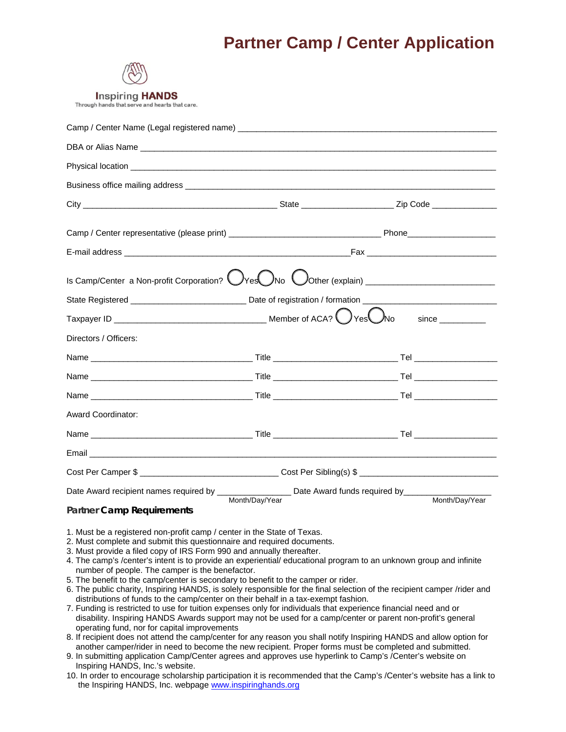# **Partner Camp / Center Application**



**Inspiring HANDS** 

Through hands that serve and hearts that care.

| State Registered _________________________________Date of registration / formation ___________________________                                                                                                                                                                                                                                                                                                                                                                                                                                                                                                                                                                                             |  |  |  |  |
|------------------------------------------------------------------------------------------------------------------------------------------------------------------------------------------------------------------------------------------------------------------------------------------------------------------------------------------------------------------------------------------------------------------------------------------------------------------------------------------------------------------------------------------------------------------------------------------------------------------------------------------------------------------------------------------------------------|--|--|--|--|
|                                                                                                                                                                                                                                                                                                                                                                                                                                                                                                                                                                                                                                                                                                            |  |  |  |  |
| Directors / Officers:                                                                                                                                                                                                                                                                                                                                                                                                                                                                                                                                                                                                                                                                                      |  |  |  |  |
|                                                                                                                                                                                                                                                                                                                                                                                                                                                                                                                                                                                                                                                                                                            |  |  |  |  |
|                                                                                                                                                                                                                                                                                                                                                                                                                                                                                                                                                                                                                                                                                                            |  |  |  |  |
|                                                                                                                                                                                                                                                                                                                                                                                                                                                                                                                                                                                                                                                                                                            |  |  |  |  |
| Award Coordinator:                                                                                                                                                                                                                                                                                                                                                                                                                                                                                                                                                                                                                                                                                         |  |  |  |  |
|                                                                                                                                                                                                                                                                                                                                                                                                                                                                                                                                                                                                                                                                                                            |  |  |  |  |
|                                                                                                                                                                                                                                                                                                                                                                                                                                                                                                                                                                                                                                                                                                            |  |  |  |  |
| Cost Per Camper \$ _________________________________Cost Per Sibling(s) \$ ___________________________                                                                                                                                                                                                                                                                                                                                                                                                                                                                                                                                                                                                     |  |  |  |  |
| Date Award recipient names required by ___________________ Date Award funds required by______                                                                                                                                                                                                                                                                                                                                                                                                                                                                                                                                                                                                              |  |  |  |  |
| Month/Day/Year<br>Month/Day/Year<br><b>Partner Camp Requirements</b>                                                                                                                                                                                                                                                                                                                                                                                                                                                                                                                                                                                                                                       |  |  |  |  |
| 1. Must be a registered non-profit camp / center in the State of Texas.<br>2. Must complete and submit this questionnaire and required documents.<br>3. Must provide a filed copy of IRS Form 990 and annually thereafter.<br>4. The camp's /center's intent is to provide an experiential/ educational program to an unknown group and infinite<br>number of people. The camper is the benefactor.<br>5. The benefit to the camp/center is secondary to benefit to the camper or rider.<br>6. The public charity, Inspiring HANDS, is solely responsible for the final selection of the recipient camper /rider and<br>distributions of funds to the camp/center on their behalf in a tax-exempt fashion. |  |  |  |  |

7. Funding is restricted to use for tuition expenses only for individuals that experience financial need and or disability. Inspiring HANDS Awards support may not be used for a camp/center or parent non-profit's general operating fund, nor for capital improvements

8. If recipient does not attend the camp/center for any reason you shall notify Inspiring HANDS and allow option for another camper/rider in need to become the new recipient. Proper forms must be completed and submitted.

9. In submitting application Camp/Center agrees and approves use hyperlink to Camp's /Center's website on Inspiring HANDS, Inc.'s website.

10. In order to encourage scholarship participation it is recommended that the Camp's /Center's website has a link to the Inspiring HANDS, Inc. webpage www.inspiringhands.org